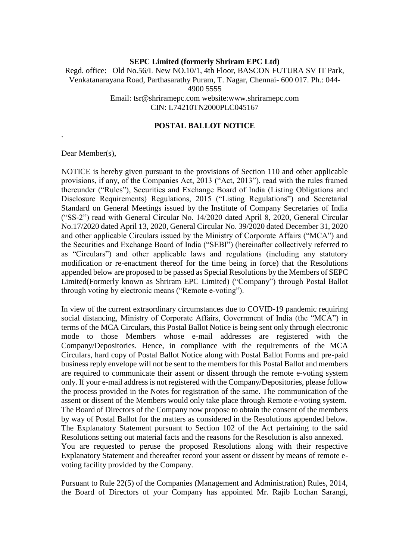### **SEPC Limited (formerly Shriram EPC Ltd)** Regd. office: Old No.56/L New NO.10/1, 4th Floor, BASCON FUTURA SV IT Park, Venkatanarayana Road, Parthasarathy Puram, T. Nagar, Chennai- 600 017. Ph.: 044- 4900 5555 Email: tsr@shriramepc.com website:www.shriramepc.com CIN: L74210TN2000PLC045167

#### **POSTAL BALLOT NOTICE**

Dear Member(s),

.

NOTICE is hereby given pursuant to the provisions of Section 110 and other applicable provisions, if any, of the Companies Act, 2013 ("Act, 2013"), read with the rules framed thereunder ("Rules"), Securities and Exchange Board of India (Listing Obligations and Disclosure Requirements) Regulations, 2015 ("Listing Regulations") and Secretarial Standard on General Meetings issued by the Institute of Company Secretaries of India ("SS-2") read with General Circular No. 14/2020 dated April 8, 2020, General Circular No.17/2020 dated April 13, 2020, General Circular No. 39/2020 dated December 31, 2020 and other applicable Circulars issued by the Ministry of Corporate Affairs ("MCA") and the Securities and Exchange Board of India ("SEBI") (hereinafter collectively referred to as "Circulars") and other applicable laws and regulations (including any statutory modification or re-enactment thereof for the time being in force) that the Resolutions appended below are proposed to be passed as Special Resolutions by the Members of SEPC Limited(Formerly known as Shriram EPC Limited) ("Company") through Postal Ballot through voting by electronic means ("Remote e-voting").

In view of the current extraordinary circumstances due to COVID-19 pandemic requiring social distancing, Ministry of Corporate Affairs, Government of India (the "MCA") in terms of the MCA Circulars, this Postal Ballot Notice is being sent only through electronic mode to those Members whose e-mail addresses are registered with the Company/Depositories. Hence, in compliance with the requirements of the MCA Circulars, hard copy of Postal Ballot Notice along with Postal Ballot Forms and pre-paid business reply envelope will not be sent to the members for this Postal Ballot and members are required to communicate their assent or dissent through the remote e-voting system only. If your e-mail address is not registered with the Company/Depositories, please follow the process provided in the Notes for registration of the same. The communication of the assent or dissent of the Members would only take place through Remote e-voting system. The Board of Directors of the Company now propose to obtain the consent of the members by way of Postal Ballot for the matters as considered in the Resolutions appended below. The Explanatory Statement pursuant to Section 102 of the Act pertaining to the said Resolutions setting out material facts and the reasons for the Resolution is also annexed. You are requested to peruse the proposed Resolutions along with their respective Explanatory Statement and thereafter record your assent or dissent by means of remote evoting facility provided by the Company.

Pursuant to Rule 22(5) of the Companies (Management and Administration) Rules, 2014, the Board of Directors of your Company has appointed Mr. Rajib Lochan Sarangi,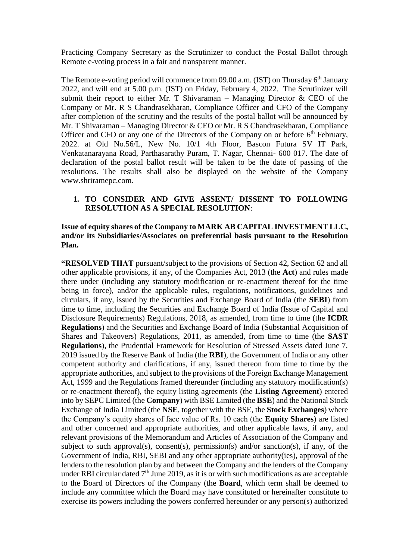Practicing Company Secretary as the Scrutinizer to conduct the Postal Ballot through Remote e-voting process in a fair and transparent manner.

The Remote e-voting period will commence from 09.00 a.m. (IST) on Thursday 6<sup>th</sup> January 2022, and will end at 5.00 p.m. (IST) on Friday, February 4, 2022. The Scrutinizer will submit their report to either Mr. T Shivaraman – Managing Director  $\&$  CEO of the Company or Mr. R S Chandrasekharan, Compliance Officer and CFO of the Company after completion of the scrutiny and the results of the postal ballot will be announced by Mr. T Shivaraman – Managing Director & CEO or Mr. R S Chandrasekharan, Compliance Officer and CFO or any one of the Directors of the Company on or before 6<sup>th</sup> February, 2022. at Old No.56/L, New No. 10/1 4th Floor, Bascon Futura SV IT Park, Venkatanarayana Road, Parthasarathy Puram, T. Nagar, Chennai- 600 017. The date of declaration of the postal ballot result will be taken to be the date of passing of the resolutions. The results shall also be displayed on the website of the Company [www.shriramepc.com.](http://www.shriramepc.com/)

#### **1. TO CONSIDER AND GIVE ASSENT/ DISSENT TO FOLLOWING RESOLUTION AS A SPECIAL RESOLUTION**:

### **Issue of equity shares of the Company to MARK AB CAPITAL INVESTMENT LLC, and/or its Subsidiaries/Associates on preferential basis pursuant to the Resolution Plan.**

**"RESOLVED THAT** pursuant/subject to the provisions of Section 42, Section 62 and all other applicable provisions, if any, of the Companies Act, 2013 (the **Act**) and rules made there under (including any statutory modification or re-enactment thereof for the time being in force), and/or the applicable rules, regulations, notifications, guidelines and circulars, if any, issued by the Securities and Exchange Board of India (the **SEBI**) from time to time, including the Securities and Exchange Board of India (Issue of Capital and Disclosure Requirements) Regulations, 2018, as amended, from time to time (the **ICDR Regulations**) and the Securities and Exchange Board of India (Substantial Acquisition of Shares and Takeovers) Regulations, 2011, as amended, from time to time (the **SAST Regulations**), the Prudential Framework for Resolution of Stressed Assets dated June 7, 2019 issued by the Reserve Bank of India (the **RBI**), the Government of India or any other competent authority and clarifications, if any, issued thereon from time to time by the appropriate authorities, and subject to the provisions of the Foreign Exchange Management Act, 1999 and the Regulations framed thereunder (including any statutory modification(s) or re-enactment thereof), the equity listing agreements (the **Listing Agreement**) entered into by SEPC Limited (the **Company**) with BSE Limited (the **BSE**) and the National Stock Exchange of India Limited (the **NSE**, together with the BSE, the **Stock Exchanges**) where the Company's equity shares of face value of Rs. 10 each (the **Equity Shares**) are listed and other concerned and appropriate authorities, and other applicable laws, if any, and relevant provisions of the Memorandum and Articles of Association of the Company and subject to such approval(s), consent(s), permission(s) and/or sanction(s), if any, of the Government of India, RBI, SEBI and any other appropriate authority(ies), approval of the lenders to the resolution plan by and between the Company and the lenders of the Company under RBI circular dated  $7<sup>th</sup>$  June 2019, as it is or with such modifications as are acceptable to the Board of Directors of the Company (the **Board**, which term shall be deemed to include any committee which the Board may have constituted or hereinafter constitute to exercise its powers including the powers conferred hereunder or any person(s) authorized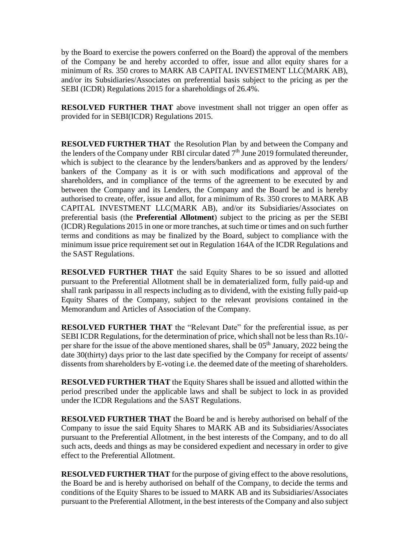by the Board to exercise the powers conferred on the Board) the approval of the members of the Company be and hereby accorded to offer, issue and allot equity shares for a minimum of Rs. 350 crores to MARK AB CAPITAL INVESTMENT LLC(MARK AB), and/or its Subsidiaries/Associates on preferential basis subject to the pricing as per the SEBI (ICDR) Regulations 2015 for a shareholdings of 26.4%.

**RESOLVED FURTHER THAT** above investment shall not trigger an open offer as provided for in SEBI(ICDR) Regulations 2015.

**RESOLVED FURTHER THAT** the Resolution Plan by and between the Company and the lenders of the Company under RBI circular dated 7<sup>th</sup> June 2019 formulated thereunder, which is subject to the clearance by the lenders/bankers and as approved by the lenders/ bankers of the Company as it is or with such modifications and approval of the shareholders, and in compliance of the terms of the agreement to be executed by and between the Company and its Lenders, the Company and the Board be and is hereby authorised to create, offer, issue and allot, for a minimum of Rs. 350 crores to MARK AB CAPITAL INVESTMENT LLC(MARK AB), and/or its Subsidiaries/Associates on preferential basis (the **Preferential Allotment**) subject to the pricing as per the SEBI (ICDR) Regulations 2015 in one or more tranches, at such time or times and on such further terms and conditions as may be finalized by the Board, subject to compliance with the minimum issue price requirement set out in Regulation 164A of the ICDR Regulations and the SAST Regulations.

**RESOLVED FURTHER THAT** the said Equity Shares to be so issued and allotted pursuant to the Preferential Allotment shall be in dematerialized form, fully paid-up and shall rank paripassu in all respects including as to dividend, with the existing fully paid-up Equity Shares of the Company, subject to the relevant provisions contained in the Memorandum and Articles of Association of the Company.

**RESOLVED FURTHER THAT** the "Relevant Date" for the preferential issue, as per SEBI ICDR Regulations, for the determination of price, which shall not be less than Rs.10/ per share for the issue of the above mentioned shares, shall be 05<sup>th</sup> January, 2022 being the date 30(thirty) days prior to the last date specified by the Company for receipt of assents/ dissents from shareholders by E-voting i.e. the deemed date of the meeting of shareholders.

**RESOLVED FURTHER THAT** the Equity Shares shall be issued and allotted within the period prescribed under the applicable laws and shall be subject to lock in as provided under the ICDR Regulations and the SAST Regulations.

**RESOLVED FURTHER THAT** the Board be and is hereby authorised on behalf of the Company to issue the said Equity Shares to MARK AB and its Subsidiaries/Associates pursuant to the Preferential Allotment, in the best interests of the Company, and to do all such acts, deeds and things as may be considered expedient and necessary in order to give effect to the Preferential Allotment.

**RESOLVED FURTHER THAT** for the purpose of giving effect to the above resolutions, the Board be and is hereby authorised on behalf of the Company, to decide the terms and conditions of the Equity Shares to be issued to MARK AB and its Subsidiaries/Associates pursuant to the Preferential Allotment, in the best interests of the Company and also subject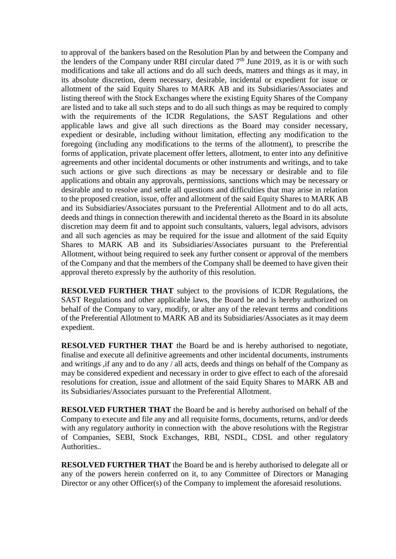to approval of the bankers based on the Resolution Plan by and between the Company and the lenders of the Company under RBI circular dated  $7<sup>th</sup>$  June 2019, as it is or with such modifications and take all actions and do all such deeds, matters and things as it may, in its absolute discretion, deem necessary, desirable, incidental or expedient for issue or allotment of the said Equity Shares to MARK AB and its Subsidiaries/Associates and listing thereof with the Stock Exchanges where the existing Equity Shares of the Company are listed and to take all such steps and to do all such things as may be required to comply with the requirements of the ICDR Regulations, the SAST Regulations and other applicable laws and give all such directions as the Board may consider necessary, expedient or desirable, including without limitation, effecting any modification to the foregoing (including any modifications to the terms of the allotment), to prescribe the forms of application, private placement offer letters, allotment, to enter into any definitive agreements and other incidental documents or other instruments and writings, and to take such actions or give such directions as may be necessary or desirable and to file applications and obtain any approvals, permissions, sanctions which may be necessary or desirable and to resolve and settle all questions and difficulties that may arise in relation to the proposed creation, issue, offer and allotment of the said Equity Shares to MARK AB and its Subsidiaries/Associates pursuant to the Preferential Allotment and to do all acts, deeds and things in connection therewith and incidental thereto as the Board in its absolute discretion may deem fit and to appoint such consultants, valuers, legal advisors, advisors and all such agencies as may be required for the issue and allotment of the said Equity Shares to MARK AB and its Subsidiaries/Associates pursuant to the Preferential Allotment, without being required to seek any further consent or approval of the members of the Company and that the members of the Company shall be deemed to have given their approval thereto expressly by the authority of this resolution.

**RESOLVED FURTHER THAT** subject to the provisions of ICDR Regulations, the SAST Regulations and other applicable laws, the Board be and is hereby authorized on behalf of the Company to vary, modify, or alter any of the relevant terms and conditions of the Preferential Allotment to MARK AB and its Subsidiaries/Associates as it may deem expedient.

**RESOLVED FURTHER THAT** the Board be and is hereby authorised to negotiate, finalise and execute all definitive agreements and other incidental documents, instruments and writings ,if any and to do any / all acts, deeds and things on behalf of the Company as may be considered expedient and necessary in order to give effect to each of the aforesaid resolutions for creation, issue and allotment of the said Equity Shares to MARK AB and its Subsidiaries/Associates pursuant to the Preferential Allotment.

**RESOLVED FURTHER THAT** the Board be and is hereby authorised on behalf of the Company to execute and file any and all requisite forms, documents, returns, and/or deeds with any regulatory authority in connection with the above resolutions with the Registrar of Companies, SEBI, Stock Exchanges, RBI, NSDL, CDSL and other regulatory Authorities..

**RESOLVED FURTHER THAT** the Board be and is hereby authorised to delegate all or any of the powers herein conferred on it, to any Committee of Directors or Managing Director or any other Officer(s) of the Company to implement the aforesaid resolutions.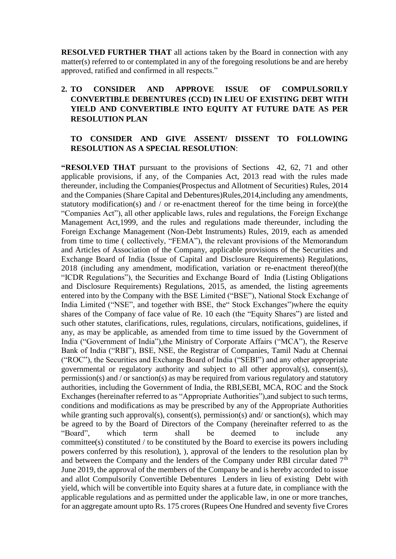**RESOLVED FURTHER THAT** all actions taken by the Board in connection with any matter(s) referred to or contemplated in any of the foregoing resolutions be and are hereby approved, ratified and confirmed in all respects."

# **2. TO CONSIDER AND APPROVE ISSUE OF COMPULSORILY CONVERTIBLE DEBENTURES (CCD) IN LIEU OF EXISTING DEBT WITH YIELD AND CONVERTIBLE INTO EQUITY AT FUTURE DATE AS PER RESOLUTION PLAN**

### **TO CONSIDER AND GIVE ASSENT/ DISSENT TO FOLLOWING RESOLUTION AS A SPECIAL RESOLUTION**:

**"RESOLVED THAT** pursuant to the provisions of Sections 42, 62, 71 and other applicable provisions, if any, of the Companies Act, 2013 read with the rules made thereunder, including the Companies(Prospectus and Allotment of Securities) Rules, 2014 and the Companies (Share Capital and Debentures)Rules,2014,including any amendments, statutory modification(s) and / or re-enactment thereof for the time being in force)(the "Companies Act"), all other applicable laws, rules and regulations, the Foreign Exchange Management Act,1999, and the rules and regulations made thereunder, including the Foreign Exchange Management (Non-Debt Instruments) Rules, 2019, each as amended from time to time ( collectively, "FEMA"), the relevant provisions of the Memorandum and Articles of Association of the Company, applicable provisions of the Securities and Exchange Board of India (Issue of Capital and Disclosure Requirements) Regulations, 2018 (including any amendment, modification, variation or re-enactment thereof)(the "ICDR Regulations"), the Securities and Exchange Board of India (Listing Obligations and Disclosure Requirements) Regulations, 2015, as amended, the listing agreements entered into by the Company with the BSE Limited ("BSE"), National Stock Exchange of India Limited ("NSE", and together with BSE, the" Stock Exchanges")where the equity shares of the Company of face value of Re. 10 each (the "Equity Shares") are listed and such other statutes, clarifications, rules, regulations, circulars, notifications, guidelines, if any, as may be applicable, as amended from time to time issued by the Government of India ("Government of India"),the Ministry of Corporate Affairs ("MCA"), the Reserve Bank of India ("RBI"), BSE, NSE, the Registrar of Companies, Tamil Nadu at Chennai ("ROC"), the Securities and Exchange Board of India ("SEBI") and any other appropriate governmental or regulatory authority and subject to all other approval(s), consent(s), permission(s) and / or sanction(s) as may be required from various regulatory and statutory authorities, including the Government of India, the RBI,SEBI, MCA, ROC and the Stock Exchanges (hereinafter referred to as "Appropriate Authorities"),and subject to such terms, conditions and modifications as may be prescribed by any of the Appropriate Authorities while granting such approval(s), consent(s), permission(s) and/ or sanction(s), which may be agreed to by the Board of Directors of the Company (hereinafter referred to as the "Board", which term shall be deemed to include any committee(s) constituted / to be constituted by the Board to exercise its powers including powers conferred by this resolution), ), approval of the lenders to the resolution plan by and between the Company and the lenders of the Company under RBI circular dated 7<sup>th</sup> June 2019, the approval of the members of the Company be and is hereby accorded to issue and allot Compulsorily Convertible Debentures Lenders in lieu of existing Debt with yield, which will be convertible into Equity shares at a future date, in compliance with the applicable regulations and as permitted under the applicable law, in one or more tranches, for an aggregate amount upto Rs. 175 crores (Rupees One Hundred and seventy five Crores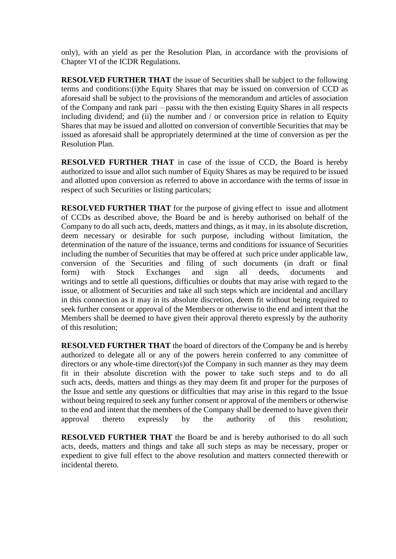only), with an yield as per the Resolution Plan, in accordance with the provisions of Chapter VI of the ICDR Regulations.

**RESOLVED FURTHER THAT** the issue of Securities shall be subject to the following terms and conditions:(i)the Equity Shares that may be issued on conversion of CCD as aforesaid shall be subject to the provisions of the memorandum and articles of association of the Company and rank pari – passu with the then existing Equity Shares in all respects including dividend; and (ii) the number and  $\ell$  or conversion price in relation to Equity Shares that may be issued and allotted on conversion of convertible Securities that may be issued as aforesaid shall be appropriately determined at the time of conversion as per the Resolution Plan.

**RESOLVED FURTHER THAT** in case of the issue of CCD, the Board is hereby authorized to issue and allot such number of Equity Shares as may be required to be issued and allotted upon conversion as referred to above in accordance with the terms of issue in respect of such Securities or listing particulars;

**RESOLVED FURTHER THAT** for the purpose of giving effect to issue and allotment of CCDs as described above, the Board be and is hereby authorised on behalf of the Company to do all such acts, deeds, matters and things, as it may, in its absolute discretion, deem necessary or desirable for such purpose, including without limitation, the determination of the nature of the issuance, terms and conditions for issuance of Securities including the number of Securities that may be offered at such price under applicable law, conversion of the Securities and filing of such documents (in draft or final form) with Stock Exchanges and sign all deeds, documents and writings and to settle all questions, difficulties or doubts that may arise with regard to the issue, or allotment of Securities and take all such steps which are incidental and ancillary in this connection as it may in its absolute discretion, deem fit without being required to seek further consent or approval of the Members or otherwise to the end and intent that the Members shall be deemed to have given their approval thereto expressly by the authority of this resolution;

**RESOLVED FURTHER THAT** the board of directors of the Company be and is hereby authorized to delegate all or any of the powers herein conferred to any committee of directors or any whole-time director(s)of the Company in such manner as they may deem fit in their absolute discretion with the power to take such steps and to do all such acts, deeds, matters and things as they may deem fit and proper for the purposes of the Issue and settle any questions or difficulties that may arise in this regard to the Issue without being required to seek any further consent or approval of the members or otherwise to the end and intent that the members of the Company shall be deemed to have given their approval thereto expressly by the authority of this resolution;

**RESOLVED FURTHER THAT** the Board be and is hereby authorised to do all such acts, deeds, matters and things and take all such steps as may be necessary, proper or expedient to give full effect to the above resolution and matters connected therewith or incidental thereto.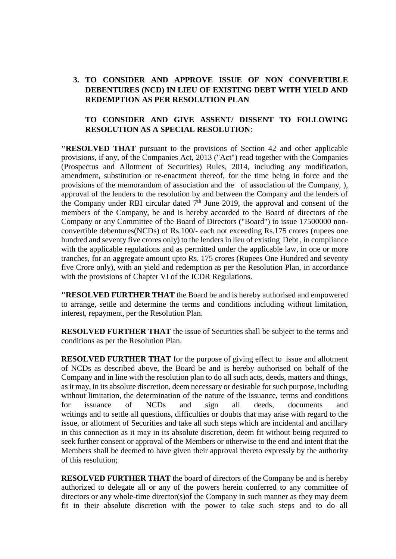# **3. TO CONSIDER AND APPROVE ISSUE OF NON CONVERTIBLE DEBENTURES (NCD) IN LIEU OF EXISTING DEBT WITH YIELD AND REDEMPTION AS PER RESOLUTION PLAN**

## **TO CONSIDER AND GIVE ASSENT/ DISSENT TO FOLLOWING RESOLUTION AS A SPECIAL RESOLUTION**:

**"RESOLVED THAT** pursuant to the provisions of Section 42 and other applicable provisions, if any, of the Companies Act, 2013 ("Act") read together with the Companies (Prospectus and Allotment of Securities) Rules, 2014, including any modification, amendment, substitution or re-enactment thereof, for the time being in force and the provisions of the memorandum of association and the of association of the Company, ), approval of the lenders to the resolution by and between the Company and the lenders of the Company under RBI circular dated  $7<sup>th</sup>$  June 2019, the approval and consent of the members of the Company, be and is hereby accorded to the Board of directors of the Company or any Committee of the Board of Directors ("Board") to issue 17500000 nonconvertible debentures(NCDs) of Rs.100/- each not exceeding Rs.175 crores (rupees one hundred and seventy five crores only) to the lenders in lieu of existing Debt , in compliance with the applicable regulations and as permitted under the applicable law, in one or more tranches, for an aggregate amount upto Rs. 175 crores (Rupees One Hundred and seventy five Crore only), with an yield and redemption as per the Resolution Plan, in accordance with the provisions of Chapter VI of the ICDR Regulations.

**"RESOLVED FURTHER THAT** the Board be and is hereby authorised and empowered to arrange, settle and determine the terms and conditions including without limitation, interest, repayment, per the Resolution Plan.

**RESOLVED FURTHER THAT** the issue of Securities shall be subject to the terms and conditions as per the Resolution Plan.

**RESOLVED FURTHER THAT** for the purpose of giving effect to issue and allotment of NCDs as described above, the Board be and is hereby authorised on behalf of the Company and in line with the resolution plan to do all such acts, deeds, matters and things, as it may, in its absolute discretion, deem necessary or desirable for such purpose, including without limitation, the determination of the nature of the issuance, terms and conditions for issuance of NCDs and sign all deeds, documents and writings and to settle all questions, difficulties or doubts that may arise with regard to the issue, or allotment of Securities and take all such steps which are incidental and ancillary in this connection as it may in its absolute discretion, deem fit without being required to seek further consent or approval of the Members or otherwise to the end and intent that the Members shall be deemed to have given their approval thereto expressly by the authority of this resolution;

**RESOLVED FURTHER THAT** the board of directors of the Company be and is hereby authorized to delegate all or any of the powers herein conferred to any committee of directors or any whole-time director(s)of the Company in such manner as they may deem fit in their absolute discretion with the power to take such steps and to do all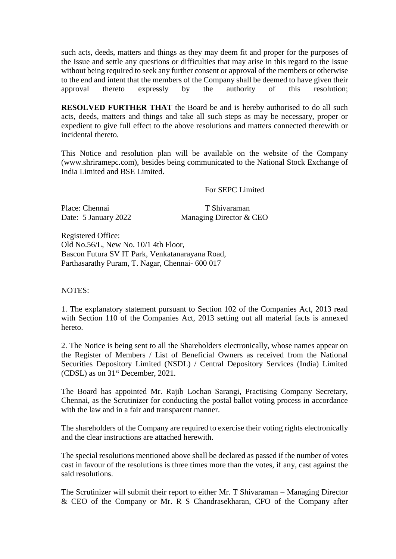such acts, deeds, matters and things as they may deem fit and proper for the purposes of the Issue and settle any questions or difficulties that may arise in this regard to the Issue without being required to seek any further consent or approval of the members or otherwise to the end and intent that the members of the Company shall be deemed to have given their approval thereto expressly by the authority of this resolution;

**RESOLVED FURTHER THAT** the Board be and is hereby authorised to do all such acts, deeds, matters and things and take all such steps as may be necessary, proper or expedient to give full effect to the above resolutions and matters connected therewith or incidental thereto.

This Notice and resolution plan will be available on the website of the Company (www.shriramepc.com), besides being communicated to the National Stock Exchange of India Limited and BSE Limited.

#### For SEPC Limited

Place: Chennai T Shivaraman

Date: 5 January 2022 Managing Director & CEO

Registered Office: Old No.56/L, New No. 10/1 4th Floor, Bascon Futura SV IT Park, Venkatanarayana Road, Parthasarathy Puram, T. Nagar, Chennai- 600 017

NOTES:

1. The explanatory statement pursuant to Section 102 of the Companies Act, 2013 read with Section 110 of the Companies Act, 2013 setting out all material facts is annexed hereto.

2. The Notice is being sent to all the Shareholders electronically, whose names appear on the Register of Members / List of Beneficial Owners as received from the National Securities Depository Limited (NSDL) / Central Depository Services (India) Limited (CDSL) as on 31 st December, 2021.

The Board has appointed Mr. Rajib Lochan Sarangi, Practising Company Secretary, Chennai, as the Scrutinizer for conducting the postal ballot voting process in accordance with the law and in a fair and transparent manner.

The shareholders of the Company are required to exercise their voting rights electronically and the clear instructions are attached herewith.

The special resolutions mentioned above shall be declared as passed if the number of votes cast in favour of the resolutions is three times more than the votes, if any, cast against the said resolutions.

The Scrutinizer will submit their report to either Mr. T Shivaraman – Managing Director & CEO of the Company or Mr. R S Chandrasekharan, CFO of the Company after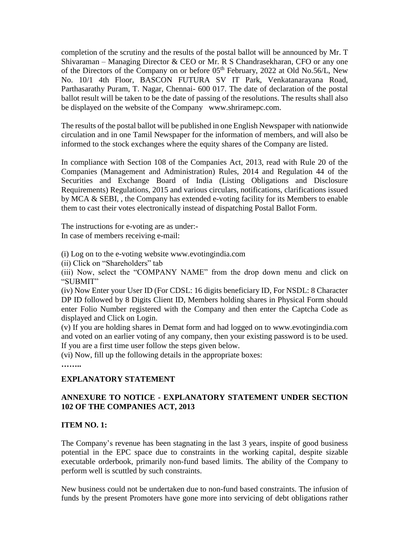completion of the scrutiny and the results of the postal ballot will be announced by Mr. T Shivaraman – Managing Director & CEO or Mr. R S Chandrasekharan, CFO or any one of the Directors of the Company on or before 05<sup>th</sup> February, 2022 at Old No.56/L, New No. 10/1 4th Floor, BASCON FUTURA SV IT Park, Venkatanarayana Road, Parthasarathy Puram, T. Nagar, Chennai- 600 017. The date of declaration of the postal ballot result will be taken to be the date of passing of the resolutions. The results shall also be displayed on the website of the Company www.shriramepc.com.

The results of the postal ballot will be published in one English Newspaper with nationwide circulation and in one Tamil Newspaper for the information of members, and will also be informed to the stock exchanges where the equity shares of the Company are listed.

In compliance with Section 108 of the Companies Act, 2013, read with Rule 20 of the Companies (Management and Administration) Rules, 2014 and Regulation 44 of the Securities and Exchange Board of India (Listing Obligations and Disclosure Requirements) Regulations, 2015 and various circulars, notifications, clarifications issued by MCA & SEBI, , the Company has extended e-voting facility for its Members to enable them to cast their votes electronically instead of dispatching Postal Ballot Form.

The instructions for e-voting are as under:-

In case of members receiving e-mail:

(i) Log on to the e-voting website www.evotingindia.com

(ii) Click on "Shareholders" tab

(iii) Now, select the "COMPANY NAME" from the drop down menu and click on "SUBMIT"

(iv) Now Enter your User ID (For CDSL: 16 digits beneficiary ID, For NSDL: 8 Character DP ID followed by 8 Digits Client ID, Members holding shares in Physical Form should enter Folio Number registered with the Company and then enter the Captcha Code as displayed and Click on Login.

(v) If you are holding shares in Demat form and had logged on to www.evotingindia.com and voted on an earlier voting of any company, then your existing password is to be used. If you are a first time user follow the steps given below.

(vi) Now, fill up the following details in the appropriate boxes:

**……..**

# **EXPLANATORY STATEMENT**

# **ANNEXURE TO NOTICE - EXPLANATORY STATEMENT UNDER SECTION 102 OF THE COMPANIES ACT, 2013**

## **ITEM NO. 1:**

The Company's revenue has been stagnating in the last 3 years, inspite of good business potential in the EPC space due to constraints in the working capital, despite sizable executable orderbook, primarily non-fund based limits. The ability of the Company to perform well is scuttled by such constraints.

New business could not be undertaken due to non-fund based constraints. The infusion of funds by the present Promoters have gone more into servicing of debt obligations rather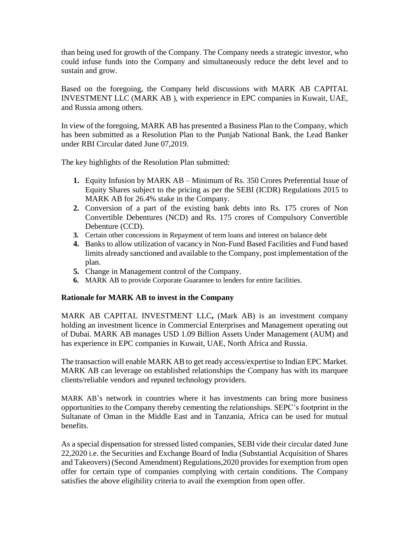than being used for growth of the Company. The Company needs a strategic investor, who could infuse funds into the Company and simultaneously reduce the debt level and to sustain and grow.

Based on the foregoing, the Company held discussions with MARK AB CAPITAL INVESTMENT LLC (MARK AB ), with experience in EPC companies in Kuwait, UAE, and Russia among others.

In view of the foregoing, MARK AB has presented a Business Plan to the Company, which has been submitted as a Resolution Plan to the Punjab National Bank, the Lead Banker under RBI Circular dated June 07,2019.

The key highlights of the Resolution Plan submitted:

- **1.** Equity Infusion by MARK AB Minimum of Rs. 350 Crores Preferential Issue of Equity Shares subject to the pricing as per the SEBI (ICDR) Regulations 2015 to MARK AB for 26.4% stake in the Company.
- **2.** Conversion of a part of the existing bank debts into Rs. 175 crores of Non Convertible Debentures (NCD) and Rs. 175 crores of Compulsory Convertible Debenture (CCD).
- **3.** Certain other concessions in Repayment of term loans and interest on balance debt
- **4.** Banks to allow utilization of vacancy in Non-Fund Based Facilities and Fund based limits already sanctioned and available to the Company, post implementation of the plan.
- **5.** Change in Management control of the Company.
- **6.** MARK AB to provide Corporate Guarantee to lenders for entire facilities.

#### **Rationale for MARK AB to invest in the Company**

MARK AB CAPITAL INVESTMENT LLC**,** (Mark AB) is an investment company holding an investment licence in Commercial Enterprises and Management operating out of Dubai. MARK AB manages USD 1.09 Billion Assets Under Management (AUM) and has experience in EPC companies in Kuwait, UAE, North Africa and Russia.

The transaction will enable MARK AB to get ready access/expertise to Indian EPC Market. MARK AB can leverage on established relationships the Company has with its marquee clients/reliable vendors and reputed technology providers.

MARK AB's network in countries where it has investments can bring more business opportunities to the Company thereby cementing the relationships. SEPC's footprint in the Sultanate of Oman in the Middle East and in Tanzania, Africa can be used for mutual benefits.

As a special dispensation for stressed listed companies, SEBI vide their circular dated June 22,2020 i.e. the Securities and Exchange Board of India (Substantial Acquisition of Shares and Takeovers) (Second Amendment) Regulations,2020 provides for exemption from open offer for certain type of companies complying with certain conditions. The Company satisfies the above eligibility criteria to avail the exemption from open offer.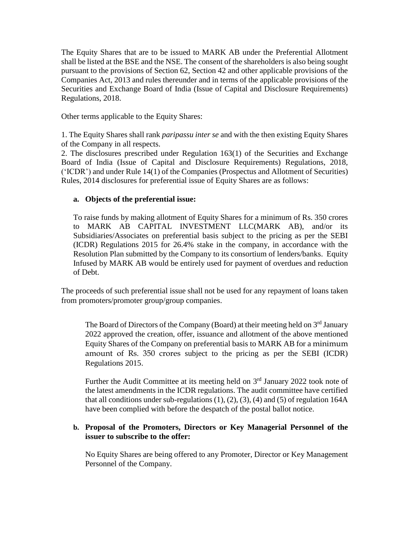The Equity Shares that are to be issued to MARK AB under the Preferential Allotment shall be listed at the BSE and the NSE. The consent of the shareholders is also being sought pursuant to the provisions of Section 62, Section 42 and other applicable provisions of the Companies Act, 2013 and rules thereunder and in terms of the applicable provisions of the Securities and Exchange Board of India (Issue of Capital and Disclosure Requirements) Regulations, 2018.

Other terms applicable to the Equity Shares:

1. The Equity Shares shall rank *paripassu inter se* and with the then existing Equity Shares of the Company in all respects.

2. The disclosures prescribed under Regulation 163(1) of the Securities and Exchange Board of India (Issue of Capital and Disclosure Requirements) Regulations, 2018, ('ICDR') and under Rule 14(1) of the Companies (Prospectus and Allotment of Securities) Rules, 2014 disclosures for preferential issue of Equity Shares are as follows:

## **a. Objects of the preferential issue:**

To raise funds by making allotment of Equity Shares for a minimum of Rs. 350 crores to MARK AB CAPITAL INVESTMENT LLC(MARK AB), and/or its Subsidiaries/Associates on preferential basis subject to the pricing as per the SEBI (ICDR) Regulations 2015 for 26.4% stake in the company, in accordance with the Resolution Plan submitted by the Company to its consortium of lenders/banks. Equity Infused by MARK AB would be entirely used for payment of overdues and reduction of Debt.

The proceeds of such preferential issue shall not be used for any repayment of loans taken from promoters/promoter group/group companies.

The Board of Directors of the Company (Board) at their meeting held on 3<sup>rd</sup> January 2022 approved the creation, offer, issuance and allotment of the above mentioned Equity Shares of the Company on preferential basis to MARK AB for a minimum amount of Rs. 350 crores subject to the pricing as per the SEBI (ICDR) Regulations 2015.

Further the Audit Committee at its meeting held on  $3<sup>rd</sup>$  January 2022 took note of the latest amendments in the ICDR regulations. The audit committee have certified that all conditions under sub-regulations  $(1)$ ,  $(2)$ ,  $(3)$ ,  $(4)$  and  $(5)$  of regulation 164A have been complied with before the despatch of the postal ballot notice.

#### **b. Proposal of the Promoters, Directors or Key Managerial Personnel of the issuer to subscribe to the offer:**

No Equity Shares are being offered to any Promoter, Director or Key Management Personnel of the Company.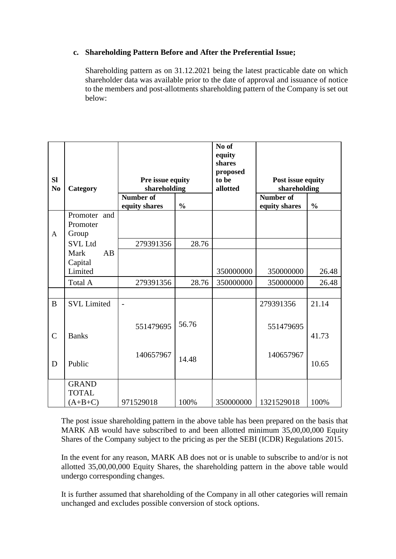## **c. Shareholding Pattern Before and After the Preferential Issue;**

Shareholding pattern as on 31.12.2021 being the latest practicable date on which shareholder data was available prior to the date of approval and issuance of notice to the members and post-allotments shareholding pattern of the Company is set out below:

|                             |                    |    |                                  |               | No of<br>equity<br>shares<br>proposed |                                   |               |
|-----------------------------|--------------------|----|----------------------------------|---------------|---------------------------------------|-----------------------------------|---------------|
| <b>Sl</b><br>N <sub>0</sub> | Category           |    | Pre issue equity<br>shareholding |               | to be<br>allotted                     | Post issue equity<br>shareholding |               |
|                             |                    |    | <b>Number of</b>                 |               |                                       | <b>Number of</b>                  |               |
|                             |                    |    | equity shares                    | $\frac{0}{0}$ |                                       | equity shares                     | $\frac{0}{0}$ |
|                             | Promoter and       |    |                                  |               |                                       |                                   |               |
|                             | Promoter           |    |                                  |               |                                       |                                   |               |
| $\mathbf{A}$                | Group              |    |                                  |               |                                       |                                   |               |
|                             | <b>SVL Ltd</b>     |    | 279391356                        | 28.76         |                                       |                                   |               |
|                             | Mark               | AB |                                  |               |                                       |                                   |               |
|                             | Capital            |    |                                  |               |                                       |                                   |               |
|                             | Limited            |    |                                  |               | 350000000                             | 350000000                         | 26.48         |
|                             | Total A            |    | 279391356                        | 28.76         | 350000000                             | 350000000                         | 26.48         |
|                             |                    |    |                                  |               |                                       |                                   |               |
| B                           | <b>SVL</b> Limited |    | $\overline{a}$                   |               |                                       | 279391356                         | 21.14         |
|                             |                    |    |                                  |               |                                       |                                   |               |
|                             |                    |    | 551479695                        | 56.76         |                                       | 551479695                         |               |
| $\overline{C}$              | <b>Banks</b>       |    |                                  |               |                                       |                                   | 41.73         |
|                             |                    |    |                                  |               |                                       |                                   |               |
|                             |                    |    | 140657967                        |               |                                       | 140657967                         |               |
| D                           | Public             |    |                                  | 14.48         |                                       |                                   | 10.65         |
|                             |                    |    |                                  |               |                                       |                                   |               |
|                             | <b>GRAND</b>       |    |                                  |               |                                       |                                   |               |
|                             | <b>TOTAL</b>       |    |                                  |               |                                       |                                   |               |
|                             | $(A+B+C)$          |    | 971529018                        | 100%          | 350000000                             | 1321529018                        | 100%          |

The post issue shareholding pattern in the above table has been prepared on the basis that MARK AB would have subscribed to and been allotted minimum 35,00,00,000 Equity Shares of the Company subject to the pricing as per the SEBI (ICDR) Regulations 2015.

In the event for any reason, MARK AB does not or is unable to subscribe to and/or is not allotted 35,00,00,000 Equity Shares, the shareholding pattern in the above table would undergo corresponding changes.

It is further assumed that shareholding of the Company in all other categories will remain unchanged and excludes possible conversion of stock options.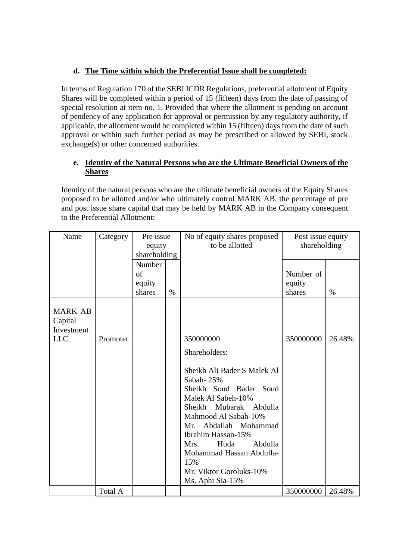# **d. The Time within which the Preferential Issue shall be completed:**

In terms of Regulation 170 of the SEBI ICDR Regulations, preferential allotment of Equity Shares will be completed within a period of 15 (fifteen) days from the date of passing of special resolution at item no. 1. Provided that where the allotment is pending on account of pendency of any application for approval or permission by any regulatory authority, if applicable, the allotment would be completed within 15 (fifteen) days from the date of such approval or within such further period as may be prescribed or allowed by SEBI, stock exchange(s) or other concerned authorities.

# **e. Identity of the Natural Persons who are the Ultimate Beneficial Owners of the Shares**

Identity of the natural persons who are the ultimate beneficial owners of the Equity Shares proposed to be allotted and/or who ultimately control MARK AB, the percentage of pre and post issue share capital that may be held by MARK AB in the Company consequent to the Preferential Allotment:

| Name                                                  | Category | Pre issue<br>equity |      | No of equity shares proposed<br>to be allotted                                                                                                                                                                                                                                                                  | Post issue equity<br>shareholding |        |
|-------------------------------------------------------|----------|---------------------|------|-----------------------------------------------------------------------------------------------------------------------------------------------------------------------------------------------------------------------------------------------------------------------------------------------------------------|-----------------------------------|--------|
|                                                       |          | shareholding        |      |                                                                                                                                                                                                                                                                                                                 |                                   |        |
|                                                       |          | Number              |      |                                                                                                                                                                                                                                                                                                                 |                                   |        |
|                                                       |          | of                  |      |                                                                                                                                                                                                                                                                                                                 | Number of                         |        |
|                                                       |          | equity              |      |                                                                                                                                                                                                                                                                                                                 | equity                            |        |
|                                                       |          | shares              | $\%$ |                                                                                                                                                                                                                                                                                                                 | shares                            | $\%$   |
| <b>MARK AB</b><br>Capital<br>Investment<br><b>LLC</b> | Promoter |                     |      |                                                                                                                                                                                                                                                                                                                 |                                   | 26.48% |
|                                                       |          |                     |      | 350000000                                                                                                                                                                                                                                                                                                       | 350000000                         |        |
|                                                       |          |                     |      | Shareholders:                                                                                                                                                                                                                                                                                                   |                                   |        |
|                                                       | Total A  |                     |      | Sheikh Ali Bader S Malek Al<br>Sabah-25%<br>Sheikh Soud Bader<br>Soud<br>Malek Al Sabeh-10%<br>Sheikh<br>Mubarak<br>Abdulla<br>Mahmood Al Sabah-10%<br>Mr. Abdallah Mohammad<br>Ibrahim Hassan-15%<br>Huda<br>Abdulla<br>Mrs.<br>Mohammad Hassan Abdulla-<br>15%<br>Mr. Viktor Goroluks-10%<br>Ms. Aphi Sia-15% | 350000000                         | 26.48% |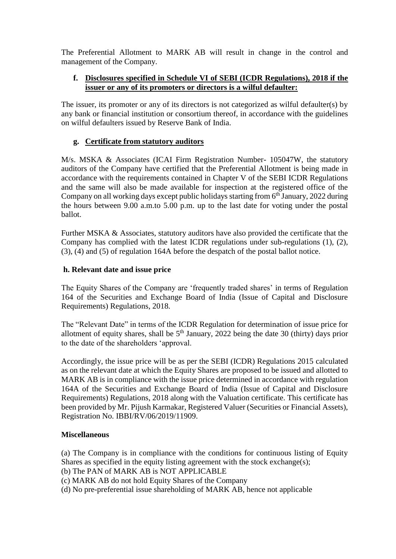The Preferential Allotment to MARK AB will result in change in the control and management of the Company.

# **f. Disclosures specified in Schedule VI of SEBI (ICDR Regulations), 2018 if the issuer or any of its promoters or directors is a wilful defaulter:**

The issuer, its promoter or any of its directors is not categorized as wilful defaulter(s) by any bank or financial institution or consortium thereof, in accordance with the guidelines on wilful defaulters issued by Reserve Bank of India.

# **g. Certificate from statutory auditors**

M/s. MSKA & Associates (ICAI Firm Registration Number- 105047W, the statutory auditors of the Company have certified that the Preferential Allotment is being made in accordance with the requirements contained in Chapter V of the SEBI ICDR Regulations and the same will also be made available for inspection at the registered office of the Company on all working days except public holidays starting from 6<sup>th</sup> January, 2022 during the hours between 9.00 a.m.to 5.00 p.m. up to the last date for voting under the postal ballot.

Further MSKA & Associates, statutory auditors have also provided the certificate that the Company has complied with the latest ICDR regulations under sub-regulations (1), (2), (3), (4) and (5) of regulation 164A before the despatch of the postal ballot notice.

## **h. Relevant date and issue price**

The Equity Shares of the Company are 'frequently traded shares' in terms of Regulation 164 of the Securities and Exchange Board of India (Issue of Capital and Disclosure Requirements) Regulations, 2018.

The "Relevant Date" in terms of the ICDR Regulation for determination of issue price for allotment of equity shares, shall be  $5<sup>th</sup>$  January, 2022 being the date 30 (thirty) days prior to the date of the shareholders 'approval.

Accordingly, the issue price will be as per the SEBI (ICDR) Regulations 2015 calculated as on the relevant date at which the Equity Shares are proposed to be issued and allotted to MARK AB is in compliance with the issue price determined in accordance with regulation 164A of the Securities and Exchange Board of India (Issue of Capital and Disclosure Requirements) Regulations, 2018 along with the Valuation certificate. This certificate has been provided by Mr. Pijush Karmakar, Registered Valuer (Securities or Financial Assets), Registration No. IBBI/RV/06/2019/11909.

## **Miscellaneous**

(a) The Company is in compliance with the conditions for continuous listing of Equity Shares as specified in the equity listing agreement with the stock exchange(s);

- (b) The PAN of MARK AB is NOT APPLICABLE
- (c) MARK AB do not hold Equity Shares of the Company
- (d) No pre-preferential issue shareholding of MARK AB, hence not applicable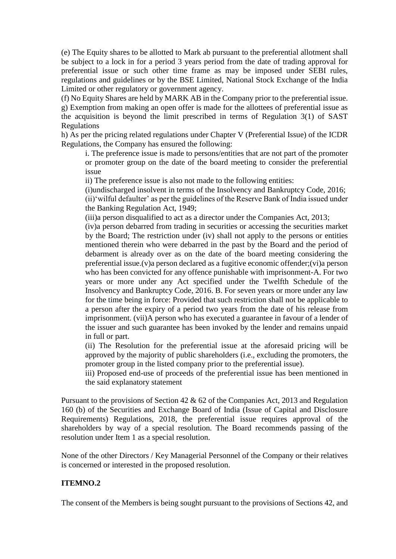(e) The Equity shares to be allotted to Mark ab pursuant to the preferential allotment shall be subject to a lock in for a period 3 years period from the date of trading approval for preferential issue or such other time frame as may be imposed under SEBI rules, regulations and guidelines or by the BSE Limited, National Stock Exchange of the India Limited or other regulatory or government agency.

(f) No Equity Shares are held by MARK AB in the Company prior to the preferential issue. g) Exemption from making an open offer is made for the allottees of preferential issue as the acquisition is beyond the limit prescribed in terms of Regulation 3(1) of SAST Regulations

h) As per the pricing related regulations under Chapter V (Preferential Issue) of the ICDR Regulations, the Company has ensured the following:

i. The preference issue is made to persons/entities that are not part of the promoter or promoter group on the date of the board meeting to consider the preferential issue

ii) The preference issue is also not made to the following entities:

(i)undischarged insolvent in terms of the Insolvency and Bankruptcy Code, 2016;

(ii)'wilful defaulter' as per the guidelines of the Reserve Bank of India issued under the Banking Regulation Act, 1949;

(iii)a person disqualified to act as a director under the Companies Act, 2013;

(iv)a person debarred from trading in securities or accessing the securities market by the Board; The restriction under (iv) shall not apply to the persons or entities mentioned therein who were debarred in the past by the Board and the period of debarment is already over as on the date of the board meeting considering the preferential issue.(v)a person declared as a fugitive economic offender;(vi)a person who has been convicted for any offence punishable with imprisonment-A. For two years or more under any Act specified under the Twelfth Schedule of the Insolvency and Bankruptcy Code, 2016. B. For seven years or more under any law for the time being in force: Provided that such restriction shall not be applicable to a person after the expiry of a period two years from the date of his release from imprisonment. (vii)A person who has executed a guarantee in favour of a lender of the issuer and such guarantee has been invoked by the lender and remains unpaid in full or part.

(ii) The Resolution for the preferential issue at the aforesaid pricing will be approved by the majority of public shareholders (i.e., excluding the promoters, the promoter group in the listed company prior to the preferential issue).

iii) Proposed end-use of proceeds of the preferential issue has been mentioned in the said explanatory statement

Pursuant to the provisions of Section 42 & 62 of the Companies Act, 2013 and Regulation 160 (b) of the Securities and Exchange Board of India (Issue of Capital and Disclosure Requirements) Regulations, 2018, the preferential issue requires approval of the shareholders by way of a special resolution. The Board recommends passing of the resolution under Item 1 as a special resolution.

None of the other Directors / Key Managerial Personnel of the Company or their relatives is concerned or interested in the proposed resolution.

## **ITEMNO.2**

The consent of the Members is being sought pursuant to the provisions of Sections 42, and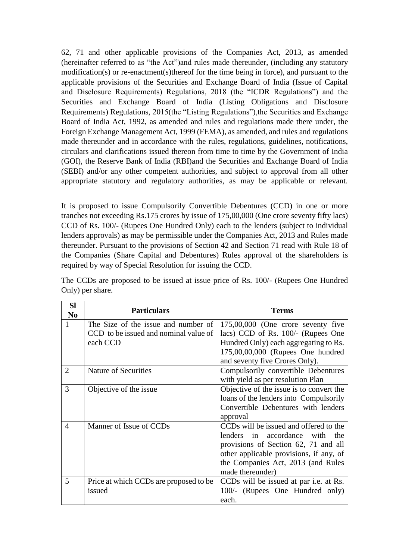62, 71 and other applicable provisions of the Companies Act, 2013, as amended (hereinafter referred to as "the Act")and rules made thereunder, (including any statutory modification(s) or re-enactment(s)thereof for the time being in force), and pursuant to the applicable provisions of the Securities and Exchange Board of India (Issue of Capital and Disclosure Requirements) Regulations, 2018 (the "ICDR Regulations") and the Securities and Exchange Board of India (Listing Obligations and Disclosure Requirements) Regulations, 2015(the "Listing Regulations"),the Securities and Exchange Board of India Act, 1992, as amended and rules and regulations made there under, the Foreign Exchange Management Act, 1999 (FEMA), as amended, and rules and regulations made thereunder and in accordance with the rules, regulations, guidelines, notifications, circulars and clarifications issued thereon from time to time by the Government of India (GOI), the Reserve Bank of India (RBI)and the Securities and Exchange Board of India (SEBI) and/or any other competent authorities, and subject to approval from all other appropriate statutory and regulatory authorities, as may be applicable or relevant.

It is proposed to issue Compulsorily Convertible Debentures (CCD) in one or more tranches not exceeding Rs.175 crores by issue of 175,00,000 (One crore seventy fifty lacs) CCD of Rs. 100/- (Rupees One Hundred Only) each to the lenders (subject to individual lenders approvals) as may be permissible under the Companies Act, 2013 and Rules made thereunder. Pursuant to the provisions of Section 42 and Section 71 read with Rule 18 of the Companies (Share Capital and Debentures) Rules approval of the shareholders is required by way of Special Resolution for issuing the CCD.

| <b>Sl</b><br>N <sub>0</sub> | <b>Particulars</b>                     | <b>Terms</b>                             |
|-----------------------------|----------------------------------------|------------------------------------------|
| 1                           | The Size of the issue and number of    | $175,00,000$ (One crore seventy five     |
|                             | CCD to be issued and nominal value of  | lacs) CCD of Rs. 100/- (Rupees One       |
|                             | each CCD                               | Hundred Only) each aggregating to Rs.    |
|                             |                                        | 175,00,00,000 (Rupees One hundred        |
|                             |                                        | and seventy five Crores Only).           |
| $\overline{2}$              | Nature of Securities                   | Compulsorily convertible Debentures      |
|                             |                                        | with yield as per resolution Plan        |
| 3                           | Objective of the issue                 | Objective of the issue is to convert the |
|                             |                                        | loans of the lenders into Compulsorily   |
|                             |                                        | Convertible Debentures with lenders      |
|                             |                                        | approval                                 |
| $\overline{4}$              | Manner of Issue of CCDs                | CCDs will be issued and offered to the   |
|                             |                                        | in accordance with the<br>lenders        |
|                             |                                        | provisions of Section 62, 71 and all     |
|                             |                                        | other applicable provisions, if any, of  |
|                             |                                        | the Companies Act, 2013 (and Rules       |
|                             |                                        | made thereunder)                         |
| 5                           | Price at which CCDs are proposed to be | CCDs will be issued at par i.e. at Rs.   |
|                             | issued                                 | 100/- (Rupees One Hundred only)          |
|                             |                                        | each.                                    |

The CCDs are proposed to be issued at issue price of Rs. 100/- (Rupees One Hundred Only) per share.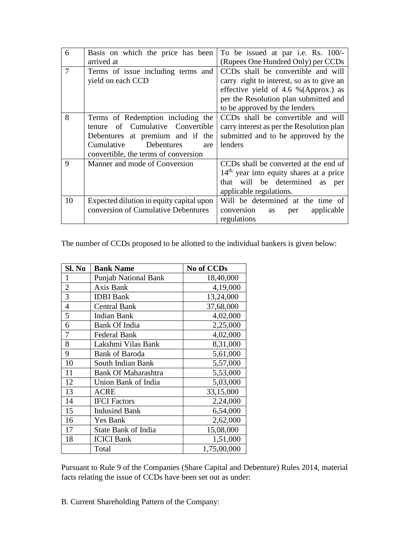| 6              | Basis on which the price has been        | To be issued at par i.e. Rs. 100/-        |
|----------------|------------------------------------------|-------------------------------------------|
|                | arrived at                               | (Rupees One Hundred Only) per CCDs        |
| $\overline{7}$ | Terms of issue including terms and       | CCDs shall be convertible and will        |
|                | yield on each CCD                        | carry right to interest, so as to give an |
|                |                                          | effective yield of 4.6 % (Approx.) as     |
|                |                                          | per the Resolution plan submitted and     |
|                |                                          | to be approved by the lenders             |
| 8              | Terms of Redemption including the        | CCDs shall be convertible and will        |
|                | of Cumulative Convertible<br>tenure      | carry interest as per the Resolution plan |
|                | Debentures at premium and if the         | submitted and to be approved by the       |
|                | Cumulative<br>Debentures<br>are          | lenders                                   |
|                | convertible, the terms of conversion     |                                           |
| $\mathbf Q$    | Manner and mode of Conversion            | CCDs shall be converted at the end of     |
|                |                                          | $14th$ year into equity shares at a price |
|                |                                          | that will be determined as per            |
|                |                                          | applicable regulations.                   |
| 10             | Expected dilution in equity capital upon | Will be determined at the time of         |
|                | conversion of Cumulative Debentures      | conversion<br>applicable<br>as<br>per     |
|                |                                          | regulations                               |

The number of CCDs proposed to be allotted to the individual bankers is given below:

| Sl. No         | <b>Bank Name</b>            | <b>No of CCDs</b> |
|----------------|-----------------------------|-------------------|
| 1              | <b>Punjab National Bank</b> | 18,40,000         |
| $\overline{2}$ | Axis Bank                   | 4,19,000          |
| $\overline{3}$ | <b>IDBI</b> Bank            | 13,24,000         |
| $\overline{4}$ | <b>Central Bank</b>         | 37,68,000         |
| 5              | <b>Indian Bank</b>          | 4,02,000          |
| 6              | <b>Bank Of India</b>        | 2,25,000          |
| 7              | <b>Federal Bank</b>         | 4,02,000          |
| 8              | Lakshmi Vilas Bank          | 8,31,000          |
| 9              | <b>Bank of Baroda</b>       | 5,61,000          |
| 10             | South Indian Bank           | 5,57,000          |
| 11             | <b>Bank Of Maharashtra</b>  | 5,53,000          |
| 12             | Union Bank of India         | 5,03,000          |
| 13             | <b>ACRE</b>                 | 33,15,000         |
| 14             | <b>IFCI</b> Factors         | 2,24,000          |
| 15             | <b>Indusind Bank</b>        | 6,54,000          |
| 16             | Yes Bank                    | 2,62,000          |
| 17             | <b>State Bank of India</b>  | 15,08,000         |
| 18             | <b>ICICI Bank</b>           | 1,51,000          |
|                | Total                       | 1,75,00,000       |

Pursuant to Rule 9 of the Companies (Share Capital and Debenture) Rules 2014, material facts relating the issue of CCDs have been set out as under:

B. Current Shareholding Pattern of the Company: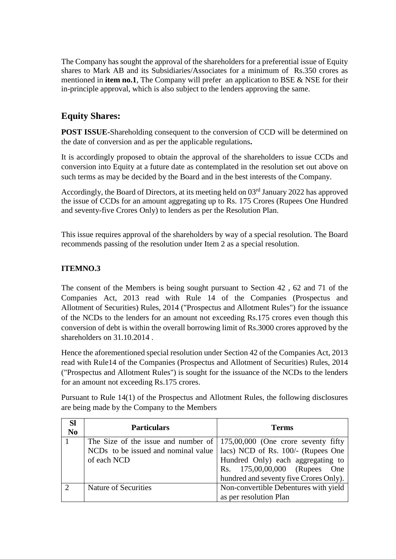The Company has sought the approval of the shareholders for a preferential issue of Equity shares to Mark AB and its Subsidiaries/Associates for a minimum of Rs.350 crores as mentioned in **item no.1**, The Company will prefer an application to BSE & NSE for their in-principle approval, which is also subject to the lenders approving the same.

# **Equity Shares:**

**POST ISSUE-**Shareholding consequent to the conversion of CCD will be determined on the date of conversion and as per the applicable regulations**.**

It is accordingly proposed to obtain the approval of the shareholders to issue CCDs and conversion into Equity at a future date as contemplated in the resolution set out above on such terms as may be decided by the Board and in the best interests of the Company.

Accordingly, the Board of Directors, at its meeting held on 03<sup>rd</sup> January 2022 has approved the issue of CCDs for an amount aggregating up to Rs. 175 Crores (Rupees One Hundred and seventy-five Crores Only) to lenders as per the Resolution Plan.

This issue requires approval of the shareholders by way of a special resolution. The Board recommends passing of the resolution under Item 2 as a special resolution.

# **ITEMNO.3**

The consent of the Members is being sought pursuant to Section 42 , 62 and 71 of the Companies Act, 2013 read with Rule 14 of the Companies (Prospectus and Allotment of Securities) Rules, 2014 ("Prospectus and Allotment Rules") for the issuance of the NCDs to the lenders for an amount not exceeding Rs.175 crores even though this conversion of debt is within the overall borrowing limit of Rs.3000 crores approved by the shareholders on 31.10.2014 .

Hence the aforementioned special resolution under Section 42 of the Companies Act, 2013 read with Rule14 of the Companies (Prospectus and Allotment of Securities) Rules, 2014 ("Prospectus and Allotment Rules") is sought for the issuance of the NCDs to the lenders for an amount not exceeding Rs.175 crores.

Pursuant to Rule 14(1) of the Prospectus and Allotment Rules, the following disclosures are being made by the Company to the Members

| <b>Sl</b><br>N <sub>0</sub> | <b>Particulars</b>                                                              | <b>Terms</b>                           |
|-----------------------------|---------------------------------------------------------------------------------|----------------------------------------|
|                             | The Size of the issue and number of $\vert$ 175,00,000 (One crore seventy fifty |                                        |
|                             | NCDs to be issued and nominal value   lacs) NCD of Rs. 100/- (Rupees One        |                                        |
|                             | of each NCD                                                                     | Hundred Only) each aggregating to      |
|                             |                                                                                 | Rs. 175,00,00,000 (Rupees<br>One       |
|                             |                                                                                 | hundred and seventy five Crores Only). |
|                             | Nature of Securities                                                            | Non-convertible Debentures with yield  |
|                             |                                                                                 | as per resolution Plan                 |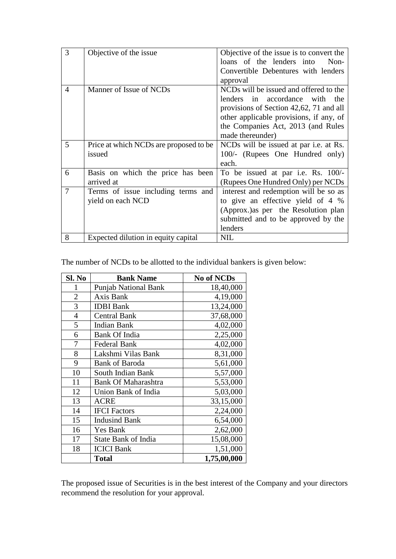| 3              | Objective of the issue                 | Objective of the issue is to convert the      |
|----------------|----------------------------------------|-----------------------------------------------|
|                |                                        | loans of the lenders into<br>Non-             |
|                |                                        | Convertible Debentures with lenders           |
|                |                                        | approval                                      |
| $\overline{4}$ | Manner of Issue of NCDs                | NCDs will be issued and offered to the        |
|                |                                        | lenders<br>in accordance with the             |
|                |                                        | provisions of Section 42,62, 71 and all       |
|                |                                        | other applicable provisions, if any, of       |
|                |                                        | the Companies Act, 2013 (and Rules            |
|                |                                        | made thereunder)                              |
| 5              | Price at which NCDs are proposed to be | NCDs will be issued at par <i>i.e.</i> at Rs. |
|                | issued                                 | 100/- (Rupees One Hundred only)               |
|                |                                        | each.                                         |
| 6              | Basis on which the price has been      | To be issued at par i.e. Rs. 100/-            |
|                | arrived at                             | (Rupees One Hundred Only) per NCDs            |
| 7              | Terms of issue including terms and     | interest and redemption will be so as         |
|                | yield on each NCD                      | to give an effective yield of 4 %             |
|                |                                        | (Approx.) as per the Resolution plan          |
|                |                                        | submitted and to be approved by the           |
|                |                                        | lenders                                       |
| 8              | Expected dilution in equity capital    | <b>NIL</b>                                    |

The number of NCDs to be allotted to the individual bankers is given below:

| Sl. No         | <b>Bank Name</b>            | <b>No of NCDs</b> |
|----------------|-----------------------------|-------------------|
| 1              | <b>Punjab National Bank</b> | 18,40,000         |
| $\overline{2}$ | Axis Bank                   | 4,19,000          |
| 3              | <b>IDBI</b> Bank            | 13,24,000         |
| 4              | <b>Central Bank</b>         | 37,68,000         |
| 5              | <b>Indian Bank</b>          | 4,02,000          |
| 6              | <b>Bank Of India</b>        | 2,25,000          |
| 7              | <b>Federal Bank</b>         | 4,02,000          |
| 8              | Lakshmi Vilas Bank          | 8,31,000          |
| 9              | <b>Bank of Baroda</b>       | 5,61,000          |
| 10             | South Indian Bank           | 5,57,000          |
| 11             | <b>Bank Of Maharashtra</b>  | 5,53,000          |
| 12             | Union Bank of India         | 5,03,000          |
| 13             | <b>ACRE</b>                 | 33,15,000         |
| 14             | <b>IFCI</b> Factors         | 2,24,000          |
| 15             | <b>Indusind Bank</b>        | 6,54,000          |
| 16             | <b>Yes Bank</b>             | 2,62,000          |
| 17             | <b>State Bank of India</b>  | 15,08,000         |
| 18             | <b>ICICI Bank</b>           | 1,51,000          |
|                | <b>Total</b>                | 1,75,00,000       |

The proposed issue of Securities is in the best interest of the Company and your directors recommend the resolution for your approval.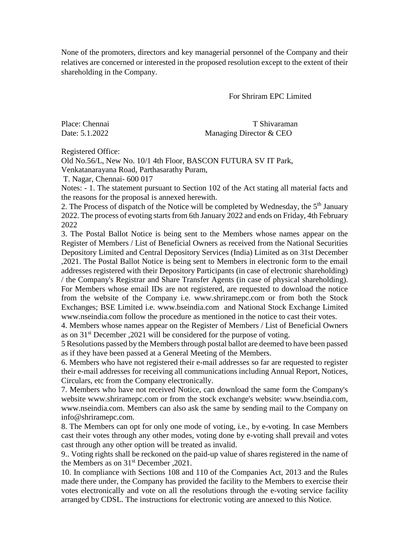None of the promoters, directors and key managerial personnel of the Company and their relatives are concerned or interested in the proposed resolution except to the extent of their shareholding in the Company.

For Shriram EPC Limited

Place: Chennai T Shivaraman Date: 5.1.2022 Managing Director & CEO

Registered Office:

Old No.56/L, New No. 10/1 4th Floor, BASCON FUTURA SV IT Park, Venkatanarayana Road, Parthasarathy Puram,

T. Nagar, Chennai- 600 017

Notes: - 1. The statement pursuant to Section 102 of the Act stating all material facts and the reasons for the proposal is annexed herewith.

2. The Process of dispatch of the Notice will be completed by Wednesday, the 5<sup>th</sup> January 2022. The process of evoting starts from 6th January 2022 and ends on Friday, 4th February 2022

3. The Postal Ballot Notice is being sent to the Members whose names appear on the Register of Members / List of Beneficial Owners as received from the National Securities Depository Limited and Central Depository Services (India) Limited as on 31st December ,2021. The Postal Ballot Notice is being sent to Members in electronic form to the email addresses registered with their Depository Participants (in case of electronic shareholding) / the Company's Registrar and Share Transfer Agents (in case of physical shareholding). For Members whose email IDs are not registered, are requested to download the notice from the website of the Company i.e. www.shriramepc.com or from both the Stock Exchanges; BSE Limited i.e. [www.bseindia.com](http://www.bseindia.com/) and National Stock Exchange Limited [www.nseindia.com](http://www.nseindia.com/) follow the procedure as mentioned in the notice to cast their votes.

4. Members whose names appear on the Register of Members / List of Beneficial Owners as on 31<sup>st</sup> December , 2021 will be considered for the purpose of voting.

5 Resolutions passed by the Members through postal ballot are deemed to have been passed as if they have been passed at a General Meeting of the Members.

6. Members who have not registered their e-mail addresses so far are requested to register their e-mail addresses for receiving all communications including Annual Report, Notices, Circulars, etc from the Company electronically.

7. Members who have not received Notice, can download the same form the Company's website [www.shriramepc.com](http://www.shriramepc.com/) or from the stock exchange's website: [www.bseindia.com,](http://www.bseindia.com/) [www.nseindia.com.](http://www.nseindia.com/) Members can also ask the same by sending mail to the Company on [info@shriramepc.com.](mailto:info@shriramepc.com)

8. The Members can opt for only one mode of voting, i.e., by e-voting. In case Members cast their votes through any other modes, voting done by e-voting shall prevail and votes cast through any other option will be treated as invalid.

9.. Voting rights shall be reckoned on the paid-up value of shares registered in the name of the Members as on 31st December ,2021.

10. In compliance with Sections 108 and 110 of the Companies Act, 2013 and the Rules made there under, the Company has provided the facility to the Members to exercise their votes electronically and vote on all the resolutions through the e-voting service facility arranged by CDSL. The instructions for electronic voting are annexed to this Notice.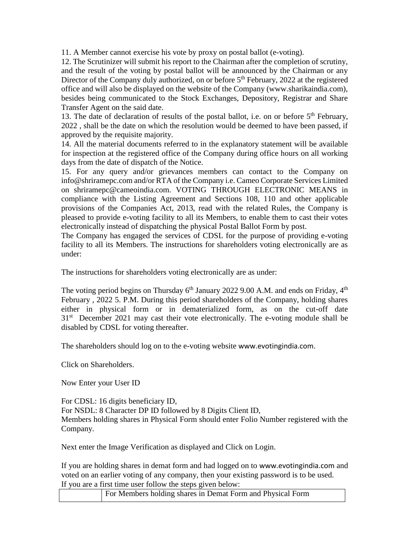11. A Member cannot exercise his vote by proxy on postal ballot (e-voting).

12. The Scrutinizer will submit his report to the Chairman after the completion of scrutiny, and the result of the voting by postal ballot will be announced by the Chairman or any Director of the Company duly authorized, on or before 5<sup>th</sup> February, 2022 at the registered office and will also be displayed on the website of the Company (www.sharikaindia.com), besides being communicated to the Stock Exchanges, Depository, Registrar and Share Transfer Agent on the said date.

13. The date of declaration of results of the postal ballot, i.e. on or before  $5<sup>th</sup>$  February, 2022 , shall be the date on which the resolution would be deemed to have been passed, if approved by the requisite majority.

14. All the material documents referred to in the explanatory statement will be available for inspection at the registered office of the Company during office hours on all working days from the date of dispatch of the Notice.

15. For any query and/or grievances members can contact to the Company on info@shriramepc.com and/or RTA of the Company i.e. Cameo Corporate Services Limited on shriramepc@cameoindia.com. VOTING THROUGH ELECTRONIC MEANS in compliance with the Listing Agreement and Sections 108, 110 and other applicable provisions of the Companies Act, 2013, read with the related Rules, the Company is pleased to provide e-voting facility to all its Members, to enable them to cast their votes electronically instead of dispatching the physical Postal Ballot Form by post.

The Company has engaged the services of CDSL for the purpose of providing e-voting facility to all its Members. The instructions for shareholders voting electronically are as under:

The instructions for shareholders voting electronically are as under:

The voting period begins on Thursday  $6<sup>th</sup>$  January 2022 9.00 A.M. and ends on Friday,  $4<sup>th</sup>$ February , 2022 5. P.M. During this period shareholders of the Company, holding shares either in physical form or in dematerialized form, as on the cut-off date 31<sup>st</sup> December 2021 may cast their vote electronically. The e-voting module shall be disabled by CDSL for voting thereafter.

The shareholders should log on to the e-voting website [www.evotingindia.com](http://www.evotingindia.com/).

Click on Shareholders.

Now Enter your User ID

For CDSL: 16 digits beneficiary ID, For NSDL: 8 Character DP ID followed by 8 Digits Client ID, Members holding shares in Physical Form should enter Folio Number registered with the Company.

Next enter the Image Verification as displayed and Click on Login.

If you are holding shares in demat form and had logged on to [www.evotingindia.com](http://www.evotingindia.com/) and voted on an earlier voting of any company, then your existing password is to be used. If you are a first time user follow the steps given below:

| For Members holding shares in Demat Form and Physical Form |  |  |
|------------------------------------------------------------|--|--|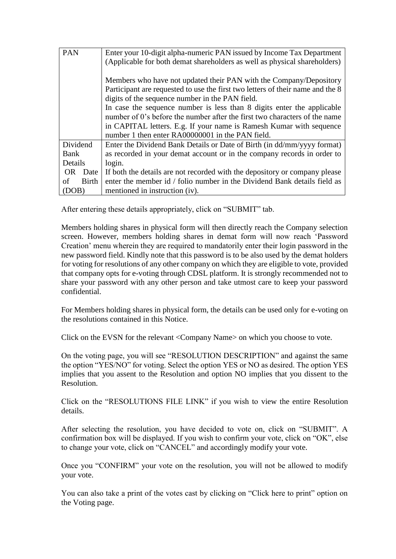| <b>PAN</b>  | Enter your 10-digit alpha-numeric PAN issued by Income Tax Department          |
|-------------|--------------------------------------------------------------------------------|
|             | (Applicable for both demat shareholders as well as physical shareholders)      |
|             |                                                                                |
|             | Members who have not updated their PAN with the Company/Depository             |
|             | Participant are requested to use the first two letters of their name and the 8 |
|             | digits of the sequence number in the PAN field.                                |
|             | In case the sequence number is less than 8 digits enter the applicable         |
|             | number of 0's before the number after the first two characters of the name     |
|             | in CAPITAL letters. E.g. If your name is Ramesh Kumar with sequence            |
|             | number 1 then enter RA00000001 in the PAN field.                               |
| Dividend    | Enter the Dividend Bank Details or Date of Birth (in dd/mm/yyyy format)        |
| Bank        | as recorded in your demat account or in the company records in order to        |
| Details     | login.                                                                         |
| OR Date     | If both the details are not recorded with the depository or company please     |
| Birth<br>οf | enter the member id / folio number in the Dividend Bank details field as       |
| (DOB)       | mentioned in instruction (iv).                                                 |

After entering these details appropriately, click on "SUBMIT" tab.

Members holding shares in physical form will then directly reach the Company selection screen. However, members holding shares in demat form will now reach 'Password Creation' menu wherein they are required to mandatorily enter their login password in the new password field. Kindly note that this password is to be also used by the demat holders for voting for resolutions of any other company on which they are eligible to vote, provided that company opts for e-voting through CDSL platform. It is strongly recommended not to share your password with any other person and take utmost care to keep your password confidential.

For Members holding shares in physical form, the details can be used only for e-voting on the resolutions contained in this Notice.

Click on the EVSN for the relevant <Company Name> on which you choose to vote.

On the voting page, you will see "RESOLUTION DESCRIPTION" and against the same the option "YES/NO" for voting. Select the option YES or NO as desired. The option YES implies that you assent to the Resolution and option NO implies that you dissent to the Resolution.

Click on the "RESOLUTIONS FILE LINK" if you wish to view the entire Resolution details.

After selecting the resolution, you have decided to vote on, click on "SUBMIT". A confirmation box will be displayed. If you wish to confirm your vote, click on "OK", else to change your vote, click on "CANCEL" and accordingly modify your vote.

Once you "CONFIRM" your vote on the resolution, you will not be allowed to modify your vote.

You can also take a print of the votes cast by clicking on "Click here to print" option on the Voting page.